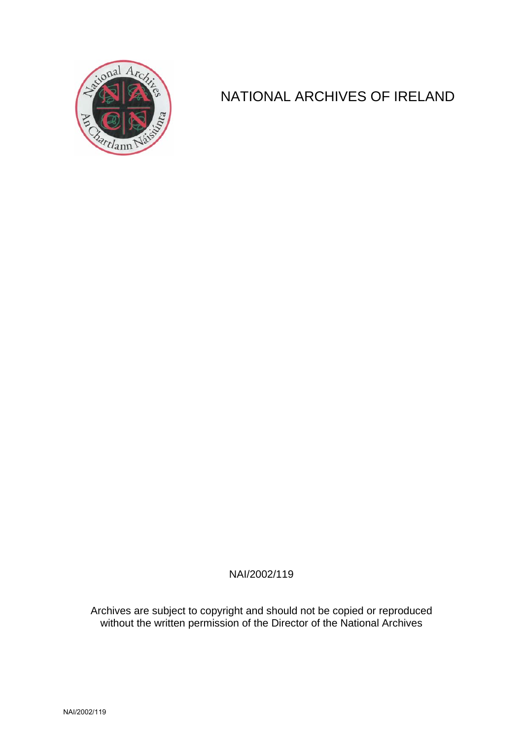

## NATIONAL ARCHIVES OF IRELAND

NAI/2002/119

Archives are subject to copyright and should not be copied or reproduced without the written permission of the Director of the National Archives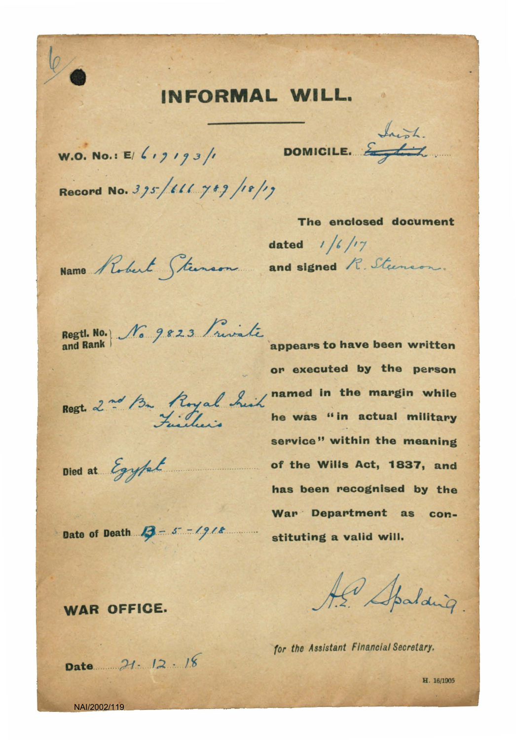## INFORMAL WILL.

W.O. No.: E/  $\left\{ \begin{array}{cc} 1 & 0 & \text{non-1.} \\ 0 & 1 & \text{non-1.} \\ 0 & 0 & \text{non-1.} \end{array} \right\}$ 

Record No. 395/666 789/18/19

The enclosed document dated  $1/6/7$ Name Robert Steenson and signed R. Steenson.

Regtl. No. 16 9823 friendle appears to have been written

Died at Egypt

or executed by the person Regt. 2nd Bu Royal Suit named in the margin while service" within the meaning of the Wills Act, 1837, and has been recognised by the War Department as con-Date of Death  $\beta$  - 5 - 1918 stituting a valid will.

Al Spalding

for the Assistant Financial Secretary.

**WAR OFFICE.** 

Date  $21 \cdot 12 \cdot 18$ 

H. 16/1905

NAI/2002/119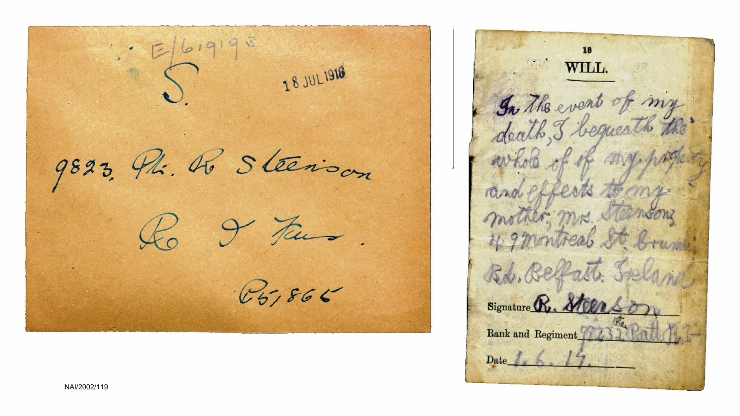$E[619195]$ 18 JUL 1918 9823, Phi. R. Steerison fairs  $167866$